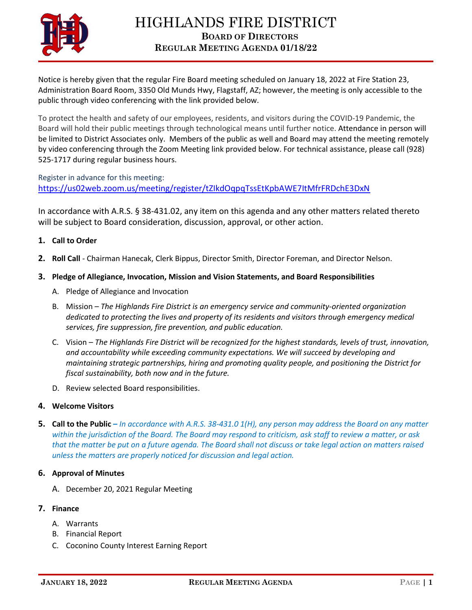

Notice is hereby given that the regular Fire Board meeting scheduled on January 18, 2022 at Fire Station 23, Administration Board Room, 3350 Old Munds Hwy, Flagstaff, AZ; however, the meeting is only accessible to the public through video conferencing with the link provided below.

To protect the health and safety of our employees, residents, and visitors during the COVID-19 Pandemic, the Board will hold their public meetings through technological means until further notice. Attendance in person will be limited to District Associates only. Members of the public as well and Board may attend the meeting remotely by video conferencing through the Zoom Meeting link provided below. For technical assistance, please call (928) 525-1717 during regular business hours.

Register in advance for this meeting: <https://us02web.zoom.us/meeting/register/tZIkdOqpqTssEtKpbAWE7ItMfrFRDchE3DxN>

In accordance with A.R.S. § 38-431.02, any item on this agenda and any other matters related thereto will be subject to Board consideration, discussion, approval, or other action.

## **1. Call to Order**

**2. Roll Call** - Chairman Hanecak, Clerk Bippus, Director Smith, Director Foreman, and Director Nelson.

## **3. Pledge of Allegiance, Invocation, Mission and Vision Statements, and Board Responsibilities**

- A. Pledge of Allegiance and Invocation
- B. Mission *The Highlands Fire District is an emergency service and community-oriented organization dedicated to protecting the lives and property of its residents and visitors through emergency medical services, fire suppression, fire prevention, and public education.*
- C. Vision *The Highlands Fire District will be recognized for the highest standards, levels of trust, innovation, and accountability while exceeding community expectations. We will succeed by developing and maintaining strategic partnerships, hiring and promoting quality people, and positioning the District for fiscal sustainability, both now and in the future.*
- D. Review selected Board responsibilities.

## **4. Welcome Visitors**

**5. Call to the Public –** *In accordance with A.R.S. 38-431.0 1(H), any person may address the Board on any matter within the jurisdiction of the Board. The Board may respond to criticism, ask staff to review a matter, or ask that the matter be put on a future agenda. The Board shall not discuss or take legal action on matters raised unless the matters are properly noticed for discussion and legal action.*

## **6. Approval of Minutes**

A. December 20, 2021 Regular Meeting

# **7. Finance**

- A. Warrants
- B. Financial Report
- C. Coconino County Interest Earning Report